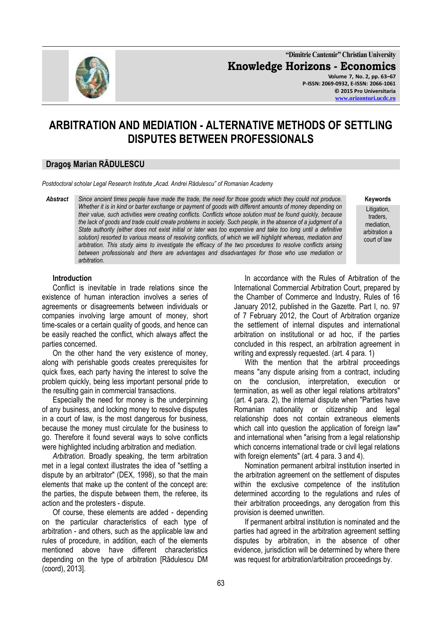

**"Dimitrie Cantemir" Christian University Knowledge Horizons - Economics Volume 7, No. 2, pp. 63–67 P-ISSN: 2069-0932, E-ISSN: 2066-1061 © 2015 Pro Universitaria [www.orizonturi.ucdc.ro](http://www.orizonturi.ucdc.ro/)**

# **ARBITRATION AND MEDIATION - ALTERNATIVE METHODS OF SETTLING DISPUTES BETWEEN PROFESSIONALS**

## **Dragoş Marian RĂDULESCU**

*Postdoctoral scholar Legal Research Institute "Acad. Andrei Rădulescu" of Romanian Academy*

*Abstract Since ancient times people have made the trade, the need for those goods which they could not produce. Whether it is in kind or barter exchange or payment of goods with different amounts of money depending on their value, such activities were creating conflicts. Conflicts whose solution must be found quickly, because the lack of goods and trade could create problems in society. Such people, in the absence of a judgment of a State authority (either does not exist initial or later was too expensive and take too long until a definitive solution) resorted to various means of resolving conflicts, of which we will highlight whereas, mediation and arbitration. This study aims to investigate the efficacy of the two procedures to resolve conflicts arising between professionals and there are advantages and disadvantages for those who use mediation or arbitration.*

**Keywords** Litigation. traders, mediation, arbitration a court of law

### **Introduction**

Conflict is inevitable in trade relations since the existence of human interaction involves a series of agreements or disagreements between individuals or companies involving large amount of money, short time-scales or a certain quality of goods, and hence can be easily reached the conflict, which always affect the parties concerned.

On the other hand the very existence of money, along with perishable goods creates prerequisites for quick fixes, each party having the interest to solve the problem quickly, being less important personal pride to the resulting gain in commercial transactions.

Especially the need for money is the underpinning of any business, and locking money to resolve disputes in a court of law, is the most dangerous for business, because the money must circulate for the business to go. Therefore it found several ways to solve conflicts were highlighted including arbitration and mediation.

*Arbitration*. Broadly speaking, the term arbitration met in a legal context illustrates the idea of "settling a dispute by an arbitrator" (DEX, 1998), so that the main elements that make up the content of the concept are: the parties, the dispute between them, the referee, its action and the protesters - dispute.

Of course, these elements are added - depending on the particular characteristics of each type of arbitration - and others, such as the applicable law and rules of procedure, in addition, each of the elements mentioned above have different characteristics depending on the type of arbitration [Rădulescu DM (coord), 2013].

In accordance with the Rules of Arbitration of the International Commercial Arbitration Court, prepared by the Chamber of Commerce and Industry, Rules of 16 January 2012, published in the Gazette. Part I, no. 97 of 7 February 2012, the Court of Arbitration organize the settlement of internal disputes and international arbitration on institutional or ad hoc, if the parties concluded in this respect, an arbitration agreement in writing and expressly requested. (art. 4 para. 1)

With the mention that the arbitral proceedings means "any dispute arising from a contract, including on the conclusion, interpretation, execution or termination, as well as other legal relations arbitrators" (art. 4 para. 2), the internal dispute when "Parties have Romanian nationality or citizenship and legal relationship does not contain extraneous elements which call into question the application of foreign law" and international when "arising from a legal relationship which concerns international trade or civil legal relations with foreign elements" (art. 4 para. 3 and 4).

Nomination permanent arbitral institution inserted in the arbitration agreement on the settlement of disputes within the exclusive competence of the institution determined according to the regulations and rules of their arbitration proceedings, any derogation from this provision is deemed unwritten.

If permanent arbitral institution is nominated and the parties had agreed in the arbitration agreement settling disputes by arbitration, in the absence of other evidence, jurisdiction will be determined by where there was request for arbitration/arbitration proceedings by.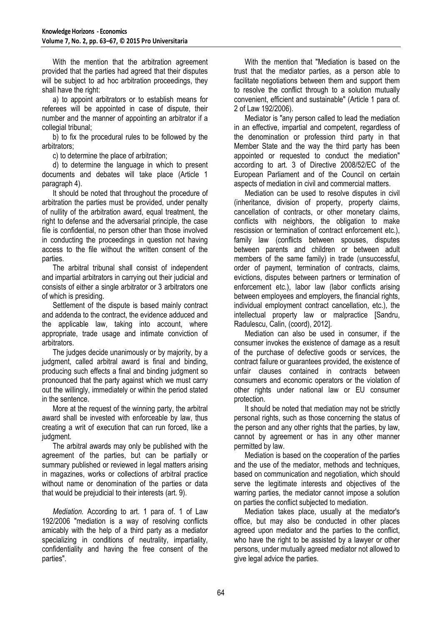With the mention that the arbitration agreement provided that the parties had agreed that their disputes will be subject to ad hoc arbitration proceedings, they shall have the right:

a) to appoint arbitrators or to establish means for referees will be appointed in case of dispute, their number and the manner of appointing an arbitrator if a collegial tribunal:

b) to fix the procedural rules to be followed by the arbitrators;

c) to determine the place of arbitration;

d) to determine the language in which to present documents and debates will take place (Article 1 paragraph 4).

It should be noted that throughout the procedure of arbitration the parties must be provided, under penalty of nullity of the arbitration award, equal treatment, the right to defense and the adversarial principle, the case file is confidential, no person other than those involved in conducting the proceedings in question not having access to the file without the written consent of the parties.

The arbitral tribunal shall consist of independent and impartial arbitrators in carrying out their judicial and consists of either a single arbitrator or 3 arbitrators one of which is presiding.

Settlement of the dispute is based mainly contract and addenda to the contract, the evidence adduced and the applicable law, taking into account, where appropriate, trade usage and intimate conviction of arbitrators.

The judges decide unanimously or by majority, by a judgment, called arbitral award is final and binding, producing such effects a final and binding judgment so pronounced that the party against which we must carry out the willingly, immediately or within the period stated in the sentence.

More at the request of the winning party, the arbitral award shall be invested with enforceable by law, thus creating a writ of execution that can run forced, like a judgment.

The arbitral awards may only be published with the agreement of the parties, but can be partially or summary published or reviewed in legal matters arising in magazines, works or collections of arbitral practice without name or denomination of the parties or data that would be prejudicial to their interests (art. 9).

*Mediation.* According to art. 1 para of. 1 of Law 192/2006 "mediation is a way of resolving conflicts amicably with the help of a third party as a mediator specializing in conditions of neutrality, impartiality, confidentiality and having the free consent of the parties".

With the mention that "Mediation is based on the trust that the mediator parties, as a person able to facilitate negotiations between them and support them to resolve the conflict through to a solution mutually convenient, efficient and sustainable" (Article 1 para of. 2 of Law 192/2006).

Mediator is "any person called to lead the mediation in an effective, impartial and competent, regardless of the denomination or profession third party in that Member State and the way the third party has been appointed or requested to conduct the mediation" according to art. 3 of Directive 2008/52/EC of the European Parliament and of the Council on certain aspects of mediation in civil and commercial matters.

Mediation can be used to resolve disputes in civil (inheritance, division of property, property claims, cancellation of contracts, or other monetary claims, conflicts with neighbors, the obligation to make rescission or termination of contract enforcement etc.), family law (conflicts between spouses, disputes between parents and children or between adult members of the same family) in trade (unsuccessful, order of payment, termination of contracts, claims, evictions, disputes between partners or termination of enforcement etc.), labor law (labor conflicts arising between employees and employers, the financial rights, individual employment contract cancellation, etc.), the intellectual property law or malpractice [Sandru, Radulescu, Calin, (coord), 2012].

Mediation can also be used in consumer, if the consumer invokes the existence of damage as a result of the purchase of defective goods or services, the contract failure or guarantees provided, the existence of unfair clauses contained in contracts between consumers and economic operators or the violation of other rights under national law or EU consumer protection.

It should be noted that mediation may not be strictly personal rights, such as those concerning the status of the person and any other rights that the parties, by law, cannot by agreement or has in any other manner permitted by law.

Mediation is based on the cooperation of the parties and the use of the mediator, methods and techniques, based on communication and negotiation, which should serve the legitimate interests and objectives of the warring parties, the mediator cannot impose a solution on parties the conflict subjected to mediation.

Mediation takes place, usually at the mediator's office, but may also be conducted in other places agreed upon mediator and the parties to the conflict, who have the right to be assisted by a lawyer or other persons, under mutually agreed mediator not allowed to give legal advice the parties.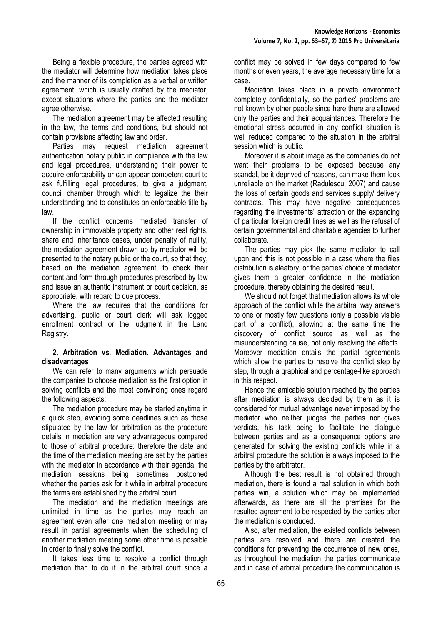Being a flexible procedure, the parties agreed with the mediator will determine how mediation takes place and the manner of its completion as a verbal or written agreement, which is usually drafted by the mediator, except situations where the parties and the mediator agree otherwise.

The mediation agreement may be affected resulting in the law, the terms and conditions, but should not contain provisions affecting law and order.

Parties may request mediation agreement authentication notary public in compliance with the law and legal procedures, understanding their power to acquire enforceability or can appear competent court to ask fulfilling legal procedures, to give a judgment, council chamber through which to legalize the their understanding and to constitutes an enforceable title by law.

If the conflict concerns mediated transfer of ownership in immovable property and other real rights, share and inheritance cases, under penalty of nullity, the mediation agreement drawn up by mediator will be presented to the notary public or the court, so that they, based on the mediation agreement, to check their content and form through procedures prescribed by law and issue an authentic instrument or court decision, as appropriate, with regard to due process.

Where the law requires that the conditions for advertising, public or court clerk will ask logged enrollment contract or the judgment in the Land Registry.

#### **2. Arbitration vs. Mediation. Advantages and disadvantages**

We can refer to many arguments which persuade the companies to choose mediation as the first option in solving conflicts and the most convincing ones regard the following aspects:

The mediation procedure may be started anytime in a quick step, avoiding some deadlines such as those stipulated by the law for arbitration as the procedure details in mediation are very advantageous compared to those of arbitral procedure: therefore the date and the time of the mediation meeting are set by the parties with the mediator in accordance with their agenda, the mediation sessions being sometimes postponed whether the parties ask for it while in arbitral procedure the terms are established by the arbitral court.

The mediation and the mediation meetings are unlimited in time as the parties may reach an agreement even after one mediation meeting or may result in partial agreements when the scheduling of another mediation meeting some other time is possible in order to finally solve the conflict.

It takes less time to resolve a conflict through mediation than to do it in the arbitral court since a conflict may be solved in few days compared to few months or even years, the average necessary time for a case.

Mediation takes place in a private environment completely confidentially, so the parties' problems are not known by other people since here there are allowed only the parties and their acquaintances. Therefore the emotional stress occurred in any conflict situation is well reduced compared to the situation in the arbitral session which is public.

Moreover it is about image as the companies do not want their problems to be exposed because any scandal, be it deprived of reasons, can make them look unreliable on the market (Radulescu, 2007) and cause the loss of certain goods and services supply/ delivery contracts. This may have negative consequences regarding the investments' attraction or the expanding of particular foreign credit lines as well as the refusal of certain governmental and charitable agencies to further collaborate.

The parties may pick the same mediator to call upon and this is not possible in a case where the files distribution is aleatory, or the parties' choice of mediator gives them a greater confidence in the mediation procedure, thereby obtaining the desired result.

We should not forget that mediation allows its whole approach of the conflict while the arbitral way answers to one or mostly few questions (only a possible visible part of a conflict), allowing at the same time the discovery of conflict source as well as the misunderstanding cause, not only resolving the effects. Moreover mediation entails the partial agreements which allow the parties to resolve the conflict step by step, through a graphical and percentage-like approach in this respect.

Hence the amicable solution reached by the parties after mediation is always decided by them as it is considered for mutual advantage never imposed by the mediator who neither judges the parties nor gives verdicts, his task being to facilitate the dialogue between parties and as a consequence options are generated for solving the existing conflicts while in a arbitral procedure the solution is always imposed to the parties by the arbitrator.

Although the best result is not obtained through mediation, there is found a real solution in which both parties win, a solution which may be implemented afterwards, as there are all the premises for the resulted agreement to be respected by the parties after the mediation is concluded.

Also, after mediation, the existed conflicts between parties are resolved and there are created the conditions for preventing the occurrence of new ones, as throughout the mediation the parties communicate and in case of arbitral procedure the communication is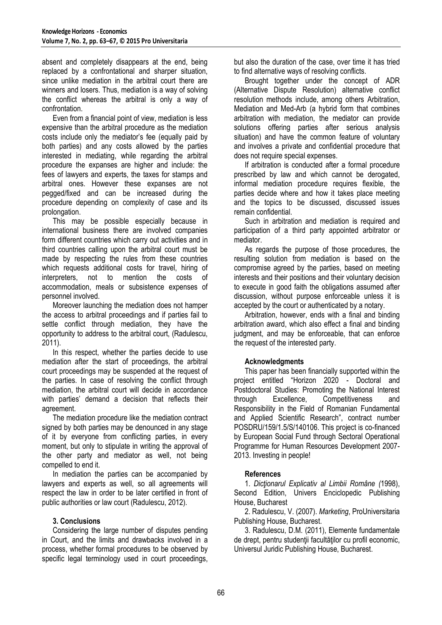absent and completely disappears at the end, being replaced by a confrontational and sharper situation, since unlike mediation in the arbitral court there are winners and losers. Thus, mediation is a way of solving the conflict whereas the arbitral is only a way of confrontation.

Even from a financial point of view, mediation is less expensive than the arbitral procedure as the mediation costs include only the mediator's fee (equally paid by both parties) and any costs allowed by the parties interested in mediating, while regarding the arbitral procedure the expanses are higher and include: the fees of lawyers and experts, the taxes for stamps and arbitral ones. However these expanses are not pegged/fixed and can be increased during the procedure depending on complexity of case and its prolongation.

This may be possible especially because in international business there are involved companies form different countries which carry out activities and in third countries calling upon the arbitral court must be made by respecting the rules from these countries which requests additional costs for travel, hiring of interpreters, not to mention the costs of accommodation, meals or subsistence expenses of personnel involved.

Moreover launching the mediation does not hamper the access to arbitral proceedings and if parties fail to settle conflict through mediation, they have the opportunity to address to the arbitral court, (Radulescu, 2011).

In this respect, whether the parties decide to use mediation after the start of proceedings, the arbitral court proceedings may be suspended at the request of the parties. In case of resolving the conflict through mediation, the arbitral court will decide in accordance with parties' demand a decision that reflects their agreement.

The mediation procedure like the mediation contract signed by both parties may be denounced in any stage of it by everyone from conflicting parties, in every moment, but only to stipulate in writing the approval of the other party and mediator as well, not being compelled to end it.

In mediation the parties can be accompanied by lawyers and experts as well, so all agreements will respect the law in order to be later certified in front of public authorities or law court (Radulescu, 2012).

## **3. Conclusions**

Considering the large number of disputes pending in Court, and the limits and drawbacks involved in a process, whether formal procedures to be observed by specific legal terminology used in court proceedings, but also the duration of the case, over time it has tried to find alternative ways of resolving conflicts.

Brought together under the concept of ADR (Alternative Dispute Resolution) alternative conflict resolution methods include, among others Arbitration, Mediation and Med-Arb (a hybrid form that combines arbitration with mediation, the mediator can provide solutions offering parties after serious analysis situation) and have the common feature of voluntary and involves a private and confidential procedure that does not require special expenses.

If arbitration is conducted after a formal procedure prescribed by law and which cannot be derogated, informal mediation procedure requires flexible, the parties decide where and how it takes place meeting and the topics to be discussed, discussed issues remain confidential.

Such in arbitration and mediation is required and participation of a third party appointed arbitrator or mediator.

As regards the purpose of those procedures, the resulting solution from mediation is based on the compromise agreed by the parties, based on meeting interests and their positions and their voluntary decision to execute in good faith the obligations assumed after discussion, without purpose enforceable unless it is accepted by the court or authenticated by a notary.

Arbitration, however, ends with a final and binding arbitration award, which also effect a final and binding judgment, and may be enforceable, that can enforce the request of the interested party.

## **Acknowledgments**

This paper has been financially supported within the project entitled "Horizon 2020 - Doctoral and Postdoctoral Studies: Promoting the National Interest through Excellence, Competitiveness and Responsibility in the Field of Romanian Fundamental and Applied Scientific Research", contract number POSDRU/159/1.5/S/140106. This project is co-financed by European Social Fund through Sectoral Operational Programme for Human Resources Development 2007- 2013. Investing in people!

## **References**

1. *Dicţionarul Explicativ al Limbii Române (*1998), Second Edition, Univers Enciclopedic Publishing House, Bucharest

2. Radulescu, V. (2007). *Marketing*, ProUniversitaria Publishing House, Bucharest.

3. Radulescu, D.M. (2011), Elemente fundamentale de drept, pentru studenții facultăților cu profil economic, Universul Juridic Publishing House, Bucharest.